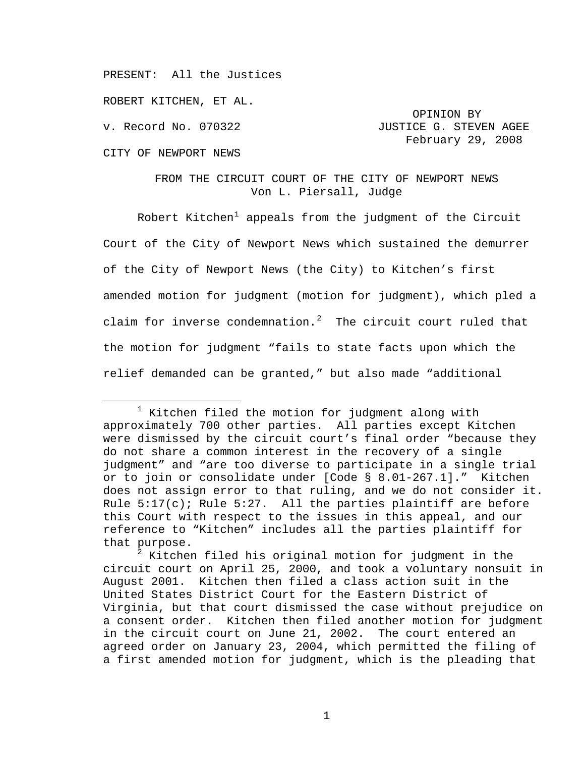PRESENT: All the Justices

ROBERT KITCHEN, ET AL.

CITY OF NEWPORT NEWS

# v. Record No. 070322 **JUSTICE G. STEVEN AGEE** February 29, 2008

OPINION BY

## FROM THE CIRCUIT COURT OF THE CITY OF NEWPORT NEWS Von L. Piersall, Judge

Robert Kitchen<sup>[1](#page-0-0)</sup> appeals from the judgment of the Circuit Court of the City of Newport News which sustained the demurrer of the City of Newport News (the City) to Kitchen's first amended motion for judgment (motion for judgment), which pled a claim for inverse condemnation.<sup>[2](#page-0-1)</sup> The circuit court ruled that the motion for judgment "fails to state facts upon which the relief demanded can be granted," but also made "additional

<span id="page-0-0"></span> $\begin{array}{c|c}\n\hline\n\text{1}\n\end{array}$  $1$  Kitchen filed the motion for judgment along with approximately 700 other parties. All parties except Kitchen were dismissed by the circuit court's final order "because they do not share a common interest in the recovery of a single judgment" and "are too diverse to participate in a single trial or to join or consolidate under [Code § 8.01-267.1]." Kitchen does not assign error to that ruling, and we do not consider it. Rule  $5:17(c)$ ; Rule  $5:27$ . All the parties plaintiff are before this Court with respect to the issues in this appeal, and our reference to "Kitchen" includes all the parties plaintiff for that purpose.

<span id="page-0-1"></span> $^2$  Kitchen filed his original motion for judgment in the circuit court on April 25, 2000, and took a voluntary nonsuit in August 2001. Kitchen then filed a class action suit in the United States District Court for the Eastern District of Virginia, but that court dismissed the case without prejudice on a consent order. Kitchen then filed another motion for judgment in the circuit court on June 21, 2002. The court entered an agreed order on January 23, 2004, which permitted the filing of a first amended motion for judgment, which is the pleading that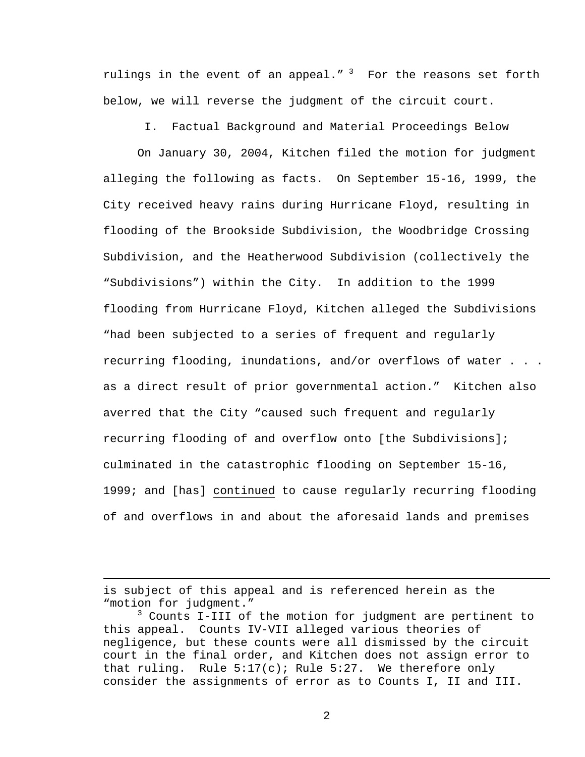rulings in the event of an appeal."  $3$  For the reasons set forth below, we will reverse the judgment of the circuit court.

I. Factual Background and Material Proceedings Below

On January 30, 2004, Kitchen filed the motion for judgment alleging the following as facts. On September 15-16, 1999, the City received heavy rains during Hurricane Floyd, resulting in flooding of the Brookside Subdivision, the Woodbridge Crossing Subdivision, and the Heatherwood Subdivision (collectively the "Subdivisions") within the City. In addition to the 1999 flooding from Hurricane Floyd, Kitchen alleged the Subdivisions "had been subjected to a series of frequent and regularly recurring flooding, inundations, and/or overflows of water . . . as a direct result of prior governmental action." Kitchen also averred that the City "caused such frequent and regularly recurring flooding of and overflow onto [the Subdivisions]; culminated in the catastrophic flooding on September 15-16, 1999; and [has] continued to cause regularly recurring flooding of and overflows in and about the aforesaid lands and premises

i

is subject of this appeal and is referenced herein as the "motion for judgment."

<span id="page-1-0"></span><sup>3</sup> Counts I-III of the motion for judgment are pertinent to this appeal. Counts IV-VII alleged various theories of negligence, but these counts were all dismissed by the circuit court in the final order, and Kitchen does not assign error to that ruling. Rule  $5:17(c)$ ; Rule  $5:27$ . We therefore only consider the assignments of error as to Counts I, II and III.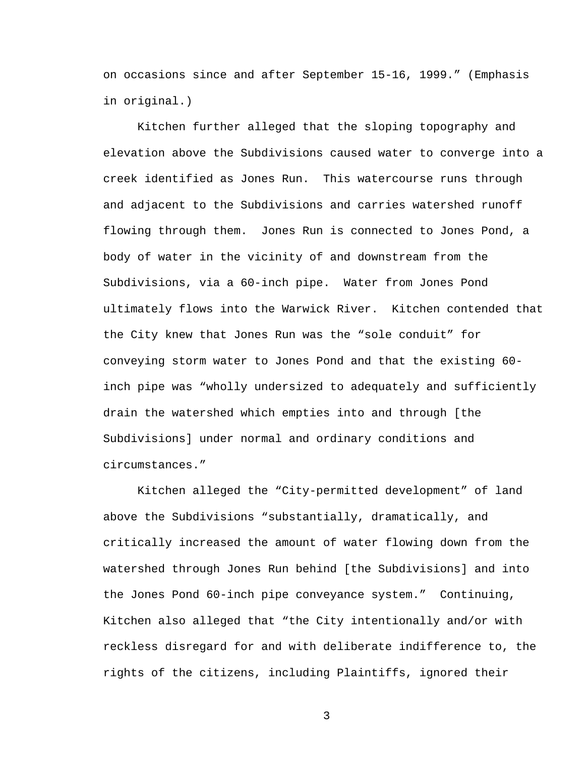on occasions since and after September 15-16, 1999." (Emphasis in original.)

Kitchen further alleged that the sloping topography and elevation above the Subdivisions caused water to converge into a creek identified as Jones Run. This watercourse runs through and adjacent to the Subdivisions and carries watershed runoff flowing through them. Jones Run is connected to Jones Pond, a body of water in the vicinity of and downstream from the Subdivisions, via a 60-inch pipe. Water from Jones Pond ultimately flows into the Warwick River. Kitchen contended that the City knew that Jones Run was the "sole conduit" for conveying storm water to Jones Pond and that the existing 60 inch pipe was "wholly undersized to adequately and sufficiently drain the watershed which empties into and through [the Subdivisions] under normal and ordinary conditions and circumstances."

Kitchen alleged the "City-permitted development" of land above the Subdivisions "substantially, dramatically, and critically increased the amount of water flowing down from the watershed through Jones Run behind [the Subdivisions] and into the Jones Pond 60-inch pipe conveyance system." Continuing, Kitchen also alleged that "the City intentionally and/or with reckless disregard for and with deliberate indifference to, the rights of the citizens, including Plaintiffs, ignored their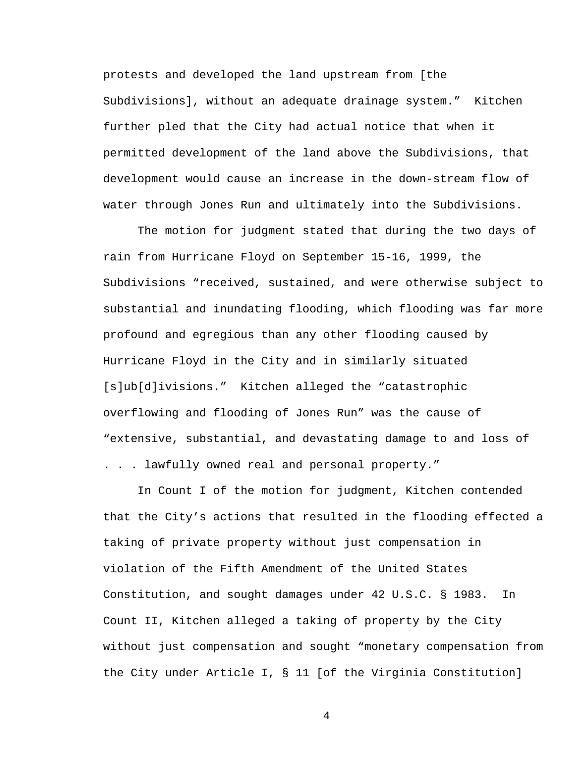protests and developed the land upstream from [the Subdivisions], without an adequate drainage system." Kitchen further pled that the City had actual notice that when it permitted development of the land above the Subdivisions, that development would cause an increase in the down-stream flow of water through Jones Run and ultimately into the Subdivisions.

The motion for judgment stated that during the two days of rain from Hurricane Floyd on September 15-16, 1999, the Subdivisions "received, sustained, and were otherwise subject to substantial and inundating flooding, which flooding was far more profound and egregious than any other flooding caused by Hurricane Floyd in the City and in similarly situated [s]ub[d]ivisions." Kitchen alleged the "catastrophic overflowing and flooding of Jones Run" was the cause of "extensive, substantial, and devastating damage to and loss of . . . lawfully owned real and personal property."

In Count I of the motion for judgment, Kitchen contended that the City's actions that resulted in the flooding effected a taking of private property without just compensation in violation of the Fifth Amendment of the United States Constitution, and sought damages under 42 U.S.C. § 1983. In Count II, Kitchen alleged a taking of property by the City without just compensation and sought "monetary compensation from the City under Article I, § 11 [of the Virginia Constitution]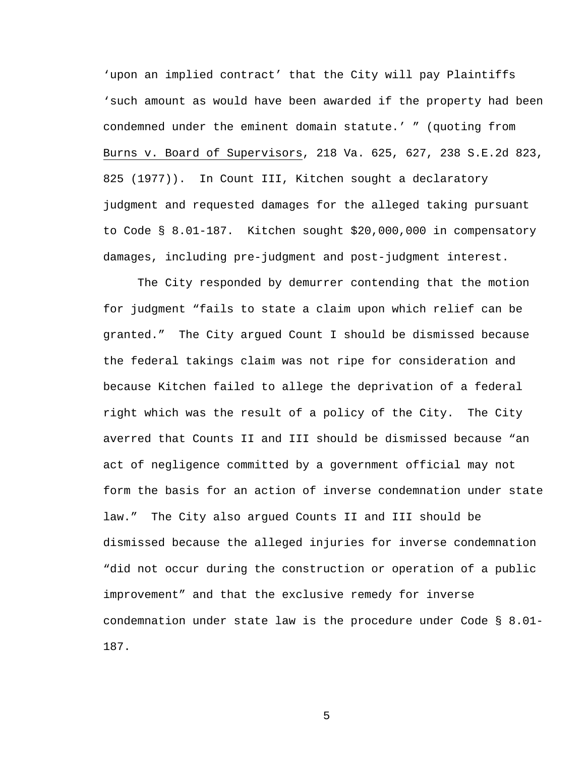'upon an implied contract' that the City will pay Plaintiffs 'such amount as would have been awarded if the property had been condemned under the eminent domain statute.' " (quoting from Burns v. Board of Supervisors, 218 Va. 625, 627, 238 S.E.2d 823, 825 (1977)). In Count III, Kitchen sought a declaratory judgment and requested damages for the alleged taking pursuant to Code § 8.01-187. Kitchen sought \$20,000,000 in compensatory damages, including pre-judgment and post-judgment interest.

The City responded by demurrer contending that the motion for judgment "fails to state a claim upon which relief can be granted." The City argued Count I should be dismissed because the federal takings claim was not ripe for consideration and because Kitchen failed to allege the deprivation of a federal right which was the result of a policy of the City. The City averred that Counts II and III should be dismissed because "an act of negligence committed by a government official may not form the basis for an action of inverse condemnation under state law." The City also argued Counts II and III should be dismissed because the alleged injuries for inverse condemnation "did not occur during the construction or operation of a public improvement" and that the exclusive remedy for inverse condemnation under state law is the procedure under Code § 8.01- 187.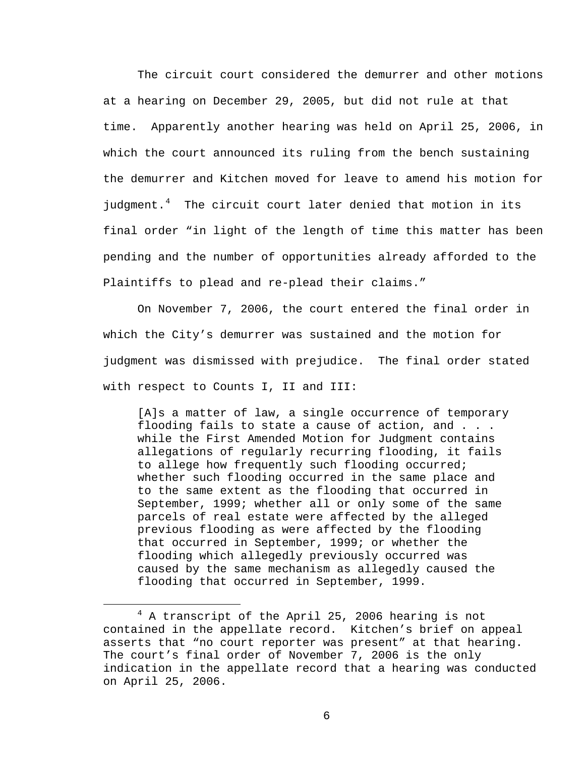The circuit court considered the demurrer and other motions at a hearing on December 29, 2005, but did not rule at that time. Apparently another hearing was held on April 25, 2006, in which the court announced its ruling from the bench sustaining the demurrer and Kitchen moved for leave to amend his motion for judgment. $4$  The circuit court later denied that motion in its final order "in light of the length of time this matter has been pending and the number of opportunities already afforded to the Plaintiffs to plead and re-plead their claims."

On November 7, 2006, the court entered the final order in which the City's demurrer was sustained and the motion for judgment was dismissed with prejudice. The final order stated with respect to Counts I, II and III:

[A]s a matter of law, a single occurrence of temporary flooding fails to state a cause of action, and . . . while the First Amended Motion for Judgment contains allegations of regularly recurring flooding, it fails to allege how frequently such flooding occurred; whether such flooding occurred in the same place and to the same extent as the flooding that occurred in September, 1999; whether all or only some of the same parcels of real estate were affected by the alleged previous flooding as were affected by the flooding that occurred in September, 1999; or whether the flooding which allegedly previously occurred was caused by the same mechanism as allegedly caused the flooding that occurred in September, 1999.

<span id="page-5-0"></span> $\overline{4}$ <sup>4</sup> A transcript of the April 25, 2006 hearing is not contained in the appellate record. Kitchen's brief on appeal asserts that "no court reporter was present" at that hearing. The court's final order of November 7, 2006 is the only indication in the appellate record that a hearing was conducted on April 25, 2006.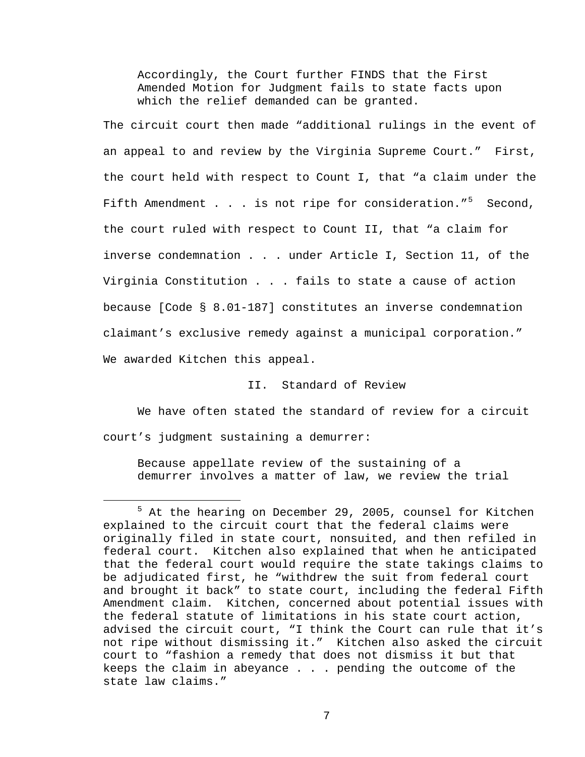Accordingly, the Court further FINDS that the First Amended Motion for Judgment fails to state facts upon which the relief demanded can be granted.

The circuit court then made "additional rulings in the event of an appeal to and review by the Virginia Supreme Court." First, the court held with respect to Count I, that "a claim under the Fifth Amendment . . . is not ripe for consideration."<sup>[5](#page-6-0)</sup> Second, the court ruled with respect to Count II, that "a claim for inverse condemnation . . . under Article I, Section 11, of the Virginia Constitution . . . fails to state a cause of action because [Code § 8.01-187] constitutes an inverse condemnation claimant's exclusive remedy against a municipal corporation." We awarded Kitchen this appeal.

## II. Standard of Review

We have often stated the standard of review for a circuit court's judgment sustaining a demurrer:

Because appellate review of the sustaining of a demurrer involves a matter of law, we review the trial

<span id="page-6-0"></span> $\frac{1}{5}$  $5$  At the hearing on December 29, 2005, counsel for Kitchen explained to the circuit court that the federal claims were originally filed in state court, nonsuited, and then refiled in federal court. Kitchen also explained that when he anticipated that the federal court would require the state takings claims to be adjudicated first, he "withdrew the suit from federal court and brought it back" to state court, including the federal Fifth Amendment claim. Kitchen, concerned about potential issues with the federal statute of limitations in his state court action, advised the circuit court, "I think the Court can rule that it's not ripe without dismissing it." Kitchen also asked the circuit court to "fashion a remedy that does not dismiss it but that keeps the claim in abeyance . . . pending the outcome of the state law claims."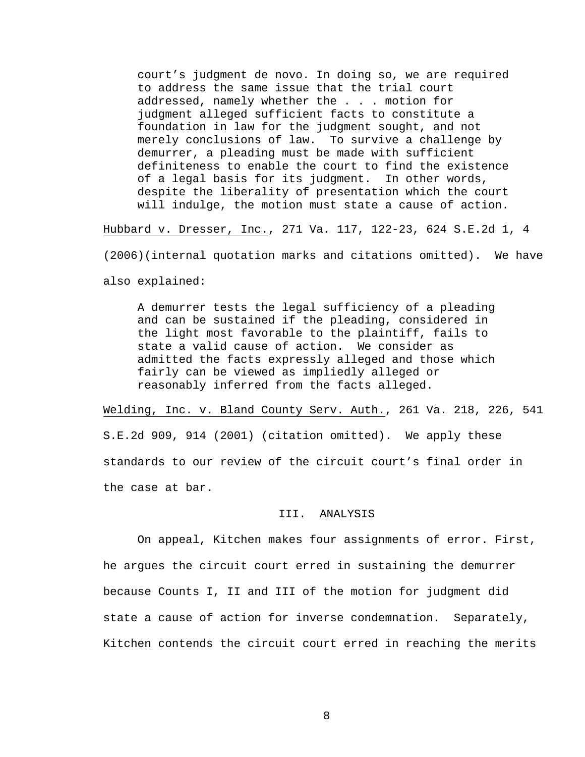court's judgment de novo. In doing so, we are required to address the same issue that the trial court addressed, namely whether the . . . motion for judgment alleged sufficient facts to constitute a foundation in law for the judgment sought, and not merely conclusions of law. To survive a challenge by demurrer, a pleading must be made with sufficient definiteness to enable the court to find the existence of a legal basis for its judgment. In other words, despite the liberality of presentation which the court will indulge, the motion must state a cause of action.

Hubbard v. Dresser, Inc., 271 Va. 117, 122-23, 624 S.E.2d 1, 4

(2006)(internal quotation marks and citations omitted). We have

also explained:

A demurrer tests the legal sufficiency of a pleading and can be sustained if the pleading, considered in the light most favorable to the plaintiff, fails to state a valid cause of action. We consider as admitted the facts expressly alleged and those which fairly can be viewed as impliedly alleged or reasonably inferred from the facts alleged.

Welding, Inc. v. Bland County Serv. Auth., 261 Va. 218, 226, 541 S.E.2d 909, 914 (2001) (citation omitted). We apply these standards to our review of the circuit court's final order in the case at bar.

#### III. ANALYSIS

On appeal, Kitchen makes four assignments of error. First, he argues the circuit court erred in sustaining the demurrer because Counts I, II and III of the motion for judgment did state a cause of action for inverse condemnation. Separately, Kitchen contends the circuit court erred in reaching the merits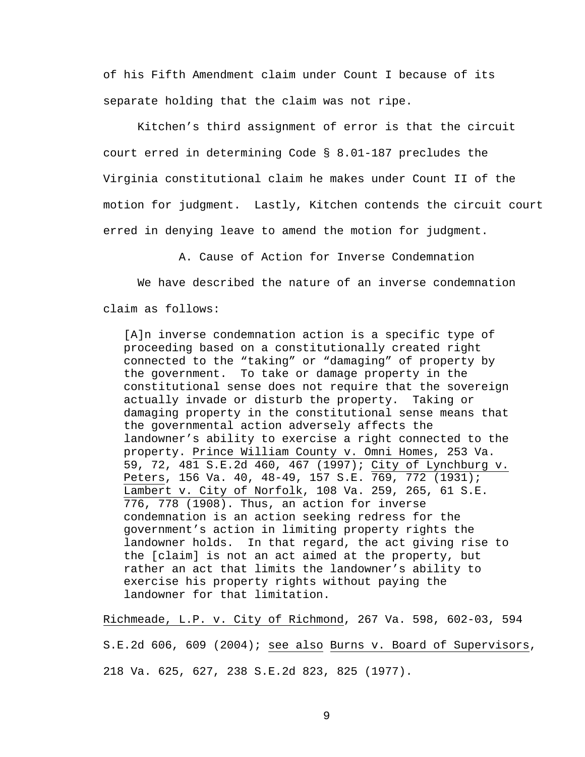of his Fifth Amendment claim under Count I because of its separate holding that the claim was not ripe.

 Kitchen's third assignment of error is that the circuit court erred in determining Code § 8.01-187 precludes the Virginia constitutional claim he makes under Count II of the motion for judgment. Lastly, Kitchen contends the circuit court erred in denying leave to amend the motion for judgment.

A. Cause of Action for Inverse Condemnation

We have described the nature of an inverse condemnation claim as follows:

[A]n inverse condemnation action is a specific type of proceeding based on a constitutionally created right connected to the "taking" or "damaging" of property by the government. To take or damage property in the constitutional sense does not require that the sovereign actually invade or disturb the property. Taking or damaging property in the constitutional sense means that the governmental action adversely affects the landowner's ability to exercise a right connected to the property. Prince William County v. Omni Homes, 253 Va. 59, 72, 481 S.E.2d 460, 467 (1997); City of Lynchburg v. Peters, 156 Va. 40, 48-49, 157 S.E. 769, 772 (1931); Lambert v. City of Norfolk, 108 Va. 259, 265, 61 S.E. 776, 778 (1908). Thus, an action for inverse condemnation is an action seeking redress for the government's action in limiting property rights the landowner holds. In that regard, the act giving rise to the [claim] is not an act aimed at the property, but rather an act that limits the landowner's ability to exercise his property rights without paying the landowner for that limitation.

Richmeade, L.P. v. City of Richmond, 267 Va. 598, 602-03, 594

S.E.2d 606, 609 (2004); see also Burns v. Board of Supervisors, 218 Va. 625, 627, 238 S.E.2d 823, 825 (1977).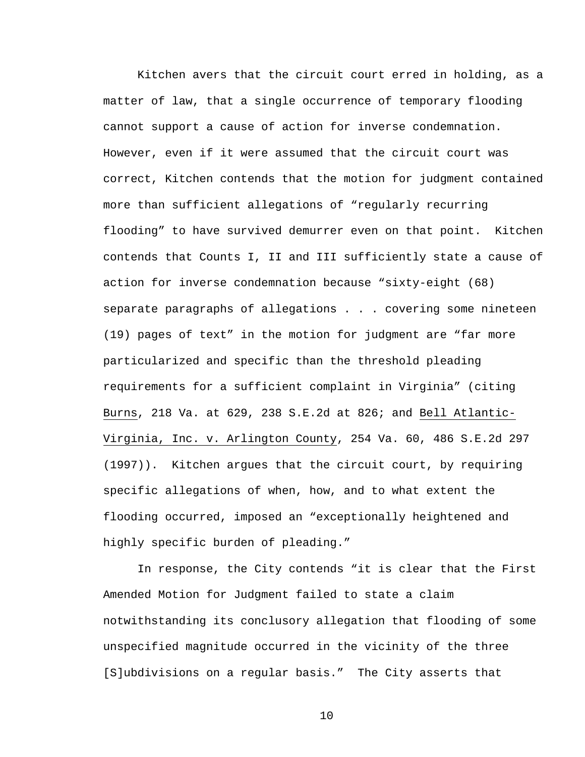Kitchen avers that the circuit court erred in holding, as a matter of law, that a single occurrence of temporary flooding cannot support a cause of action for inverse condemnation. However, even if it were assumed that the circuit court was correct, Kitchen contends that the motion for judgment contained more than sufficient allegations of "regularly recurring flooding" to have survived demurrer even on that point. Kitchen contends that Counts I, II and III sufficiently state a cause of action for inverse condemnation because "sixty-eight (68) separate paragraphs of allegations . . . covering some nineteen (19) pages of text" in the motion for judgment are "far more particularized and specific than the threshold pleading requirements for a sufficient complaint in Virginia" (citing Burns, 218 Va. at 629, 238 S.E.2d at 826; and Bell Atlantic-Virginia, Inc. v. Arlington County, 254 Va. 60, 486 S.E.2d 297 (1997)). Kitchen argues that the circuit court, by requiring specific allegations of when, how, and to what extent the flooding occurred, imposed an "exceptionally heightened and highly specific burden of pleading."

 In response, the City contends "it is clear that the First Amended Motion for Judgment failed to state a claim notwithstanding its conclusory allegation that flooding of some unspecified magnitude occurred in the vicinity of the three [S]ubdivisions on a regular basis." The City asserts that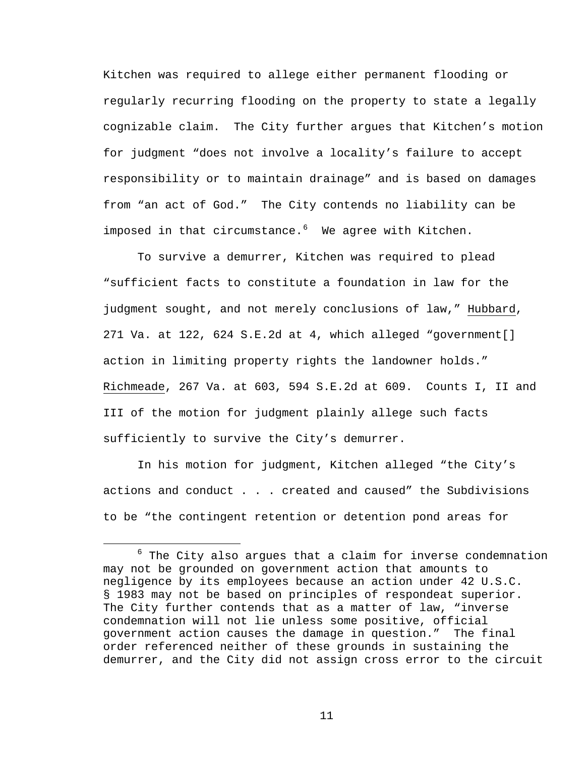Kitchen was required to allege either permanent flooding or regularly recurring flooding on the property to state a legally cognizable claim. The City further argues that Kitchen's motion for judgment "does not involve a locality's failure to accept responsibility or to maintain drainage" and is based on damages from "an act of God." The City contends no liability can be imposed in that circumstance.<sup>[6](#page-10-0)</sup> We agree with Kitchen.

To survive a demurrer, Kitchen was required to plead "sufficient facts to constitute a foundation in law for the judgment sought, and not merely conclusions of law," Hubbard, 271 Va. at 122, 624 S.E.2d at 4, which alleged "government[] action in limiting property rights the landowner holds." Richmeade, 267 Va. at 603, 594 S.E.2d at 609. Counts I, II and III of the motion for judgment plainly allege such facts sufficiently to survive the City's demurrer.

In his motion for judgment, Kitchen alleged "the City's actions and conduct . . . created and caused" the Subdivisions to be "the contingent retention or detention pond areas for

<span id="page-10-0"></span> $\overline{6}$  $6$  The City also argues that a claim for inverse condemnation may not be grounded on government action that amounts to negligence by its employees because an action under 42 U.S.C. § 1983 may not be based on principles of respondeat superior. The City further contends that as a matter of law, "inverse condemnation will not lie unless some positive, official government action causes the damage in question." The final order referenced neither of these grounds in sustaining the demurrer, and the City did not assign cross error to the circuit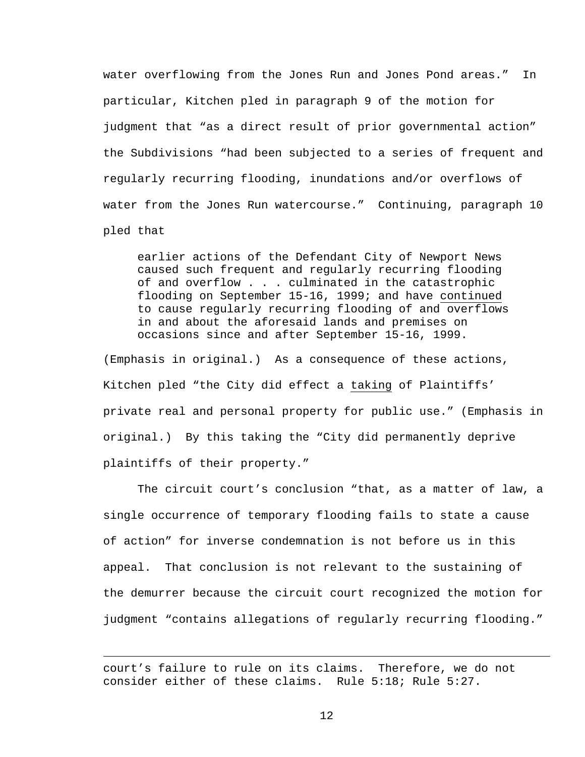water overflowing from the Jones Run and Jones Pond areas." In particular, Kitchen pled in paragraph 9 of the motion for judgment that "as a direct result of prior governmental action" the Subdivisions "had been subjected to a series of frequent and regularly recurring flooding, inundations and/or overflows of water from the Jones Run watercourse." Continuing, paragraph 10 pled that

earlier actions of the Defendant City of Newport News caused such frequent and regularly recurring flooding of and overflow . . . culminated in the catastrophic flooding on September 15-16, 1999; and have continued to cause regularly recurring flooding of and overflows in and about the aforesaid lands and premises on occasions since and after September 15-16, 1999.

(Emphasis in original.) As a consequence of these actions, Kitchen pled "the City did effect a taking of Plaintiffs' private real and personal property for public use." (Emphasis in original.) By this taking the "City did permanently deprive plaintiffs of their property."

 The circuit court's conclusion "that, as a matter of law, a single occurrence of temporary flooding fails to state a cause of action" for inverse condemnation is not before us in this appeal. That conclusion is not relevant to the sustaining of the demurrer because the circuit court recognized the motion for judgment "contains allegations of regularly recurring flooding."

 $\overline{\phantom{0}}$ 

court's failure to rule on its claims. Therefore, we do not consider either of these claims. Rule 5:18; Rule 5:27.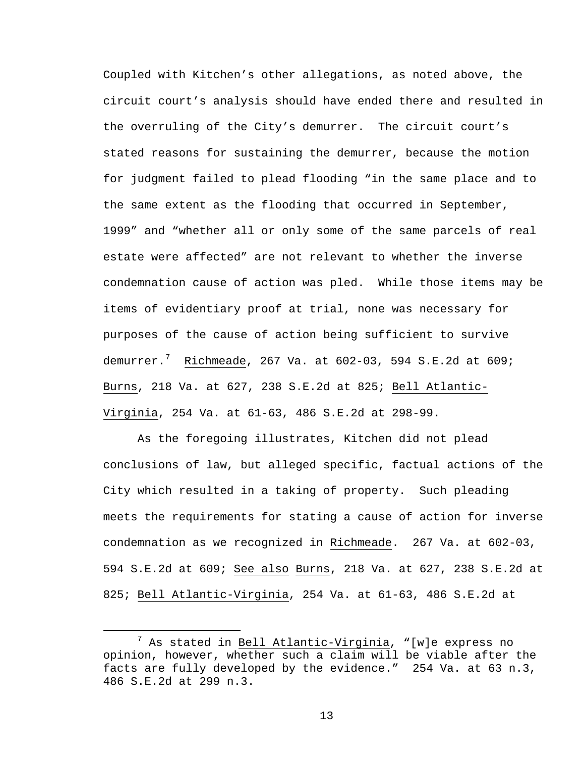Coupled with Kitchen's other allegations, as noted above, the circuit court's analysis should have ended there and resulted in the overruling of the City's demurrer. The circuit court's stated reasons for sustaining the demurrer, because the motion for judgment failed to plead flooding "in the same place and to the same extent as the flooding that occurred in September, 1999" and "whether all or only some of the same parcels of real estate were affected" are not relevant to whether the inverse condemnation cause of action was pled. While those items may be items of evidentiary proof at trial, none was necessary for purposes of the cause of action being sufficient to survive demurrer.<sup>[7](#page-12-0)</sup> Richmeade, 267 Va. at 602-03, 594 S.E.2d at 609; Burns, 218 Va. at 627, 238 S.E.2d at 825; Bell Atlantic-Virginia, 254 Va. at 61-63, 486 S.E.2d at 298-99.

As the foregoing illustrates, Kitchen did not plead conclusions of law, but alleged specific, factual actions of the City which resulted in a taking of property. Such pleading meets the requirements for stating a cause of action for inverse condemnation as we recognized in Richmeade. 267 Va. at 602-03, 594 S.E.2d at 609; See also Burns, 218 Va. at 627, 238 S.E.2d at 825; Bell Atlantic-Virginia, 254 Va. at 61-63, 486 S.E.2d at

<span id="page-12-0"></span> <sup>7</sup>  $^7$  As stated in Bell Atlantic-Virginia, "[w]e express no opinion, however, whether such a claim will be viable after the facts are fully developed by the evidence." 254 Va. at 63 n.3, 486 S.E.2d at 299 n.3.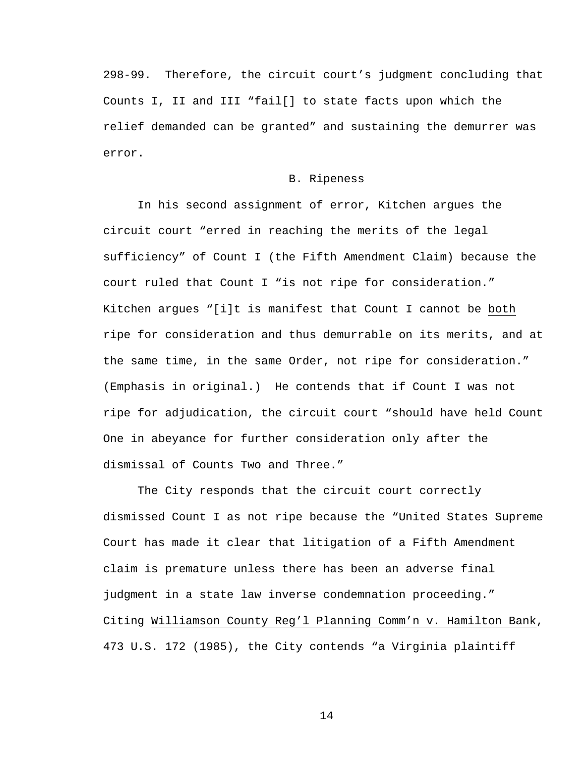298-99. Therefore, the circuit court's judgment concluding that Counts I, II and III "fail[] to state facts upon which the relief demanded can be granted" and sustaining the demurrer was error.

#### B. Ripeness

In his second assignment of error, Kitchen argues the circuit court "erred in reaching the merits of the legal sufficiency" of Count I (the Fifth Amendment Claim) because the court ruled that Count I "is not ripe for consideration." Kitchen argues "[i]t is manifest that Count I cannot be both ripe for consideration and thus demurrable on its merits, and at the same time, in the same Order, not ripe for consideration." (Emphasis in original.) He contends that if Count I was not ripe for adjudication, the circuit court "should have held Count One in abeyance for further consideration only after the dismissal of Counts Two and Three."

 The City responds that the circuit court correctly dismissed Count I as not ripe because the "United States Supreme Court has made it clear that litigation of a Fifth Amendment claim is premature unless there has been an adverse final judgment in a state law inverse condemnation proceeding." Citing Williamson County Reg'l Planning Comm'n v. Hamilton Bank, 473 U.S. 172 (1985), the City contends "a Virginia plaintiff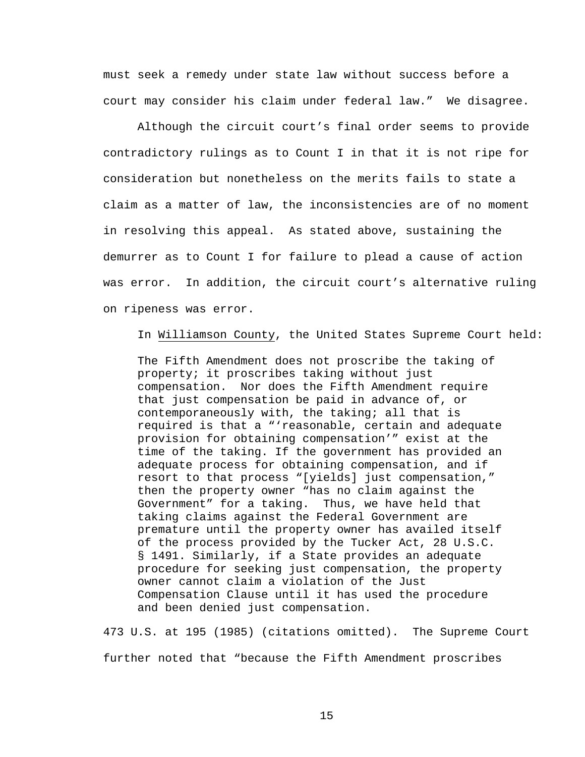must seek a remedy under state law without success before a court may consider his claim under federal law." We disagree.

 Although the circuit court's final order seems to provide contradictory rulings as to Count I in that it is not ripe for consideration but nonetheless on the merits fails to state a claim as a matter of law, the inconsistencies are of no moment in resolving this appeal. As stated above, sustaining the demurrer as to Count I for failure to plead a cause of action was error. In addition, the circuit court's alternative ruling on ripeness was error.

In Williamson County, the United States Supreme Court held:

The Fifth Amendment does not proscribe the taking of property; it proscribes taking without just compensation. Nor does the Fifth Amendment require that just compensation be paid in advance of, or contemporaneously with, the taking; all that is required is that a "'reasonable, certain and adequate provision for obtaining compensation'" exist at the time of the taking. If the government has provided an adequate process for obtaining compensation, and if resort to that process "[yields] just compensation," then the property owner "has no claim against the Government" for a taking. Thus, we have held that taking claims against the Federal Government are premature until the property owner has availed itself of the process provided by the Tucker Act, 28 U.S.C. § 1491. Similarly, if a State provides an adequate procedure for seeking just compensation, the property owner cannot claim a violation of the Just Compensation Clause until it has used the procedure and been denied just compensation.

473 U.S. at 195 (1985) (citations omitted). The Supreme Court further noted that "because the Fifth Amendment proscribes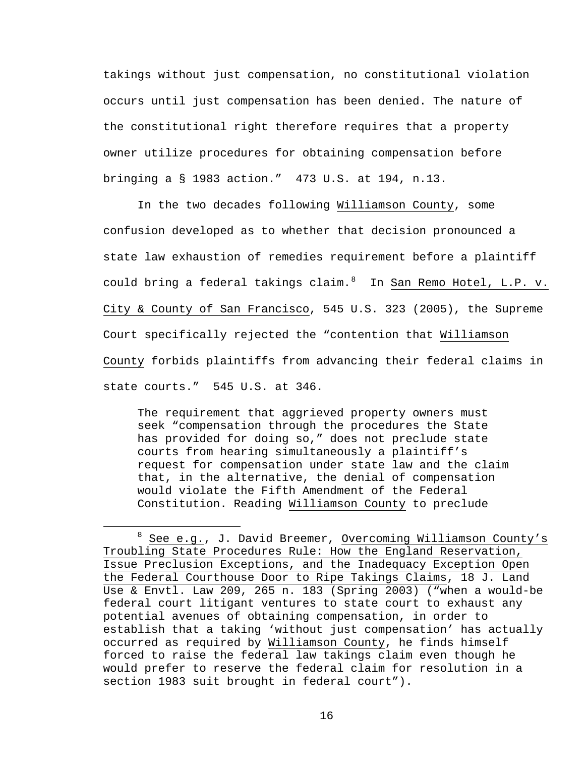takings without just compensation, no constitutional violation occurs until just compensation has been denied. The nature of the constitutional right therefore requires that a property owner utilize procedures for obtaining compensation before bringing a § 1983 action." 473 U.S. at 194, n.13.

 In the two decades following Williamson County, some confusion developed as to whether that decision pronounced a state law exhaustion of remedies requirement before a plaintiff could bring a federal takings claim.<sup>[8](#page-15-0)</sup> In San Remo Hotel, L.P. v. City & County of San Francisco, 545 U.S. 323 (2005), the Supreme Court specifically rejected the "contention that Williamson County forbids plaintiffs from advancing their federal claims in state courts." 545 U.S. at 346.

The requirement that aggrieved property owners must seek "compensation through the procedures the State has provided for doing so," does not preclude state courts from hearing simultaneously a plaintiff's request for compensation under state law and the claim that, in the alternative, the denial of compensation would violate the Fifth Amendment of the Federal Constitution. Reading Williamson County to preclude

<span id="page-15-0"></span><sup>8</sup> See\_e.g., J. David Breemer, Overcoming Williamson County's Troubling State Procedures Rule: How the England Reservation, Issue Preclusion Exceptions, and the Inadequacy Exception Open the Federal Courthouse Door to Ripe Takings Claims, 18 J. Land Use & Envtl. Law 209, 265 n. 183 (Spring 2003) ("when a would-be federal court litigant ventures to state court to exhaust any potential avenues of obtaining compensation, in order to establish that a taking 'without just compensation' has actually occurred as required by Williamson County, he finds himself forced to raise the federal law takings claim even though he would prefer to reserve the federal claim for resolution in a section 1983 suit brought in federal court").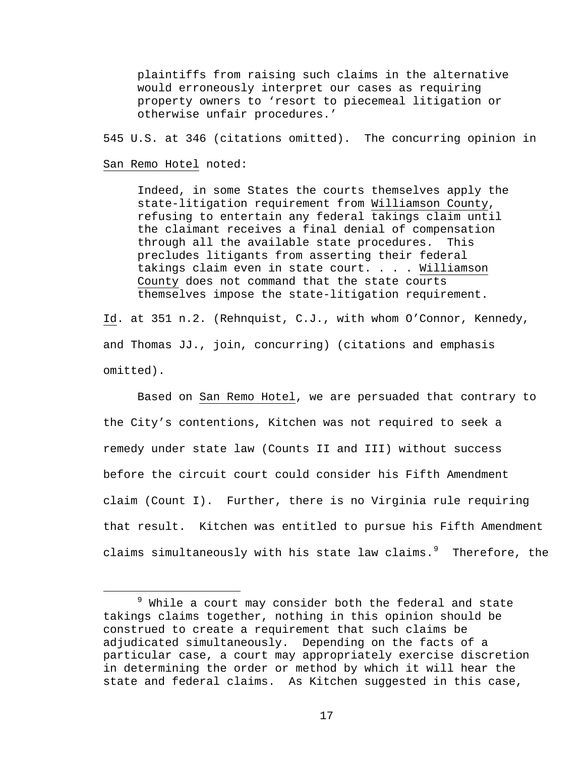plaintiffs from raising such claims in the alternative would erroneously interpret our cases as requiring property owners to 'resort to piecemeal litigation or otherwise unfair procedures.'

545 U.S. at 346 (citations omitted). The concurring opinion in

#### San Remo Hotel noted:

Indeed, in some States the courts themselves apply the state-litigation requirement from Williamson County, refusing to entertain any federal takings claim until the claimant receives a final denial of compensation through all the available state procedures. This precludes litigants from asserting their federal takings claim even in state court. . . . Williamson County does not command that the state courts themselves impose the state-litigation requirement.

Id. at 351 n.2. (Rehnquist, C.J., with whom O'Connor, Kennedy, and Thomas JJ., join, concurring) (citations and emphasis omitted).

 Based on San Remo Hotel, we are persuaded that contrary to the City's contentions, Kitchen was not required to seek a remedy under state law (Counts II and III) without success before the circuit court could consider his Fifth Amendment claim (Count I). Further, there is no Virginia rule requiring that result. Kitchen was entitled to pursue his Fifth Amendment claims simultaneously with his state law claims. $9$  Therefore, the

<span id="page-16-0"></span> <sup>9</sup>  $9$  While a court may consider both the federal and state takings claims together, nothing in this opinion should be construed to create a requirement that such claims be adjudicated simultaneously. Depending on the facts of a particular case, a court may appropriately exercise discretion in determining the order or method by which it will hear the state and federal claims. As Kitchen suggested in this case,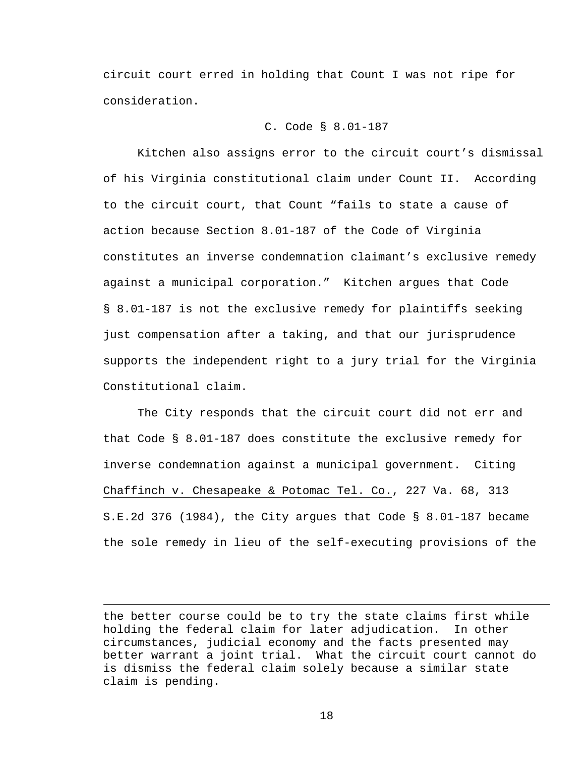circuit court erred in holding that Count I was not ripe for consideration.

### C. Code § 8.01-187

Kitchen also assigns error to the circuit court's dismissal of his Virginia constitutional claim under Count II. According to the circuit court, that Count "fails to state a cause of action because Section 8.01-187 of the Code of Virginia constitutes an inverse condemnation claimant's exclusive remedy against a municipal corporation." Kitchen argues that Code § 8.01-187 is not the exclusive remedy for plaintiffs seeking just compensation after a taking, and that our jurisprudence supports the independent right to a jury trial for the Virginia Constitutional claim.

 The City responds that the circuit court did not err and that Code § 8.01-187 does constitute the exclusive remedy for inverse condemnation against a municipal government. Citing Chaffinch v. Chesapeake & Potomac Tel. Co., 227 Va. 68, 313 S.E.2d 376 (1984), the City argues that Code § 8.01-187 became the sole remedy in lieu of the self-executing provisions of the

 $\overline{\phantom{0}}$ 

the better course could be to try the state claims first while holding the federal claim for later adjudication. In other circumstances, judicial economy and the facts presented may better warrant a joint trial. What the circuit court cannot do is dismiss the federal claim solely because a similar state claim is pending.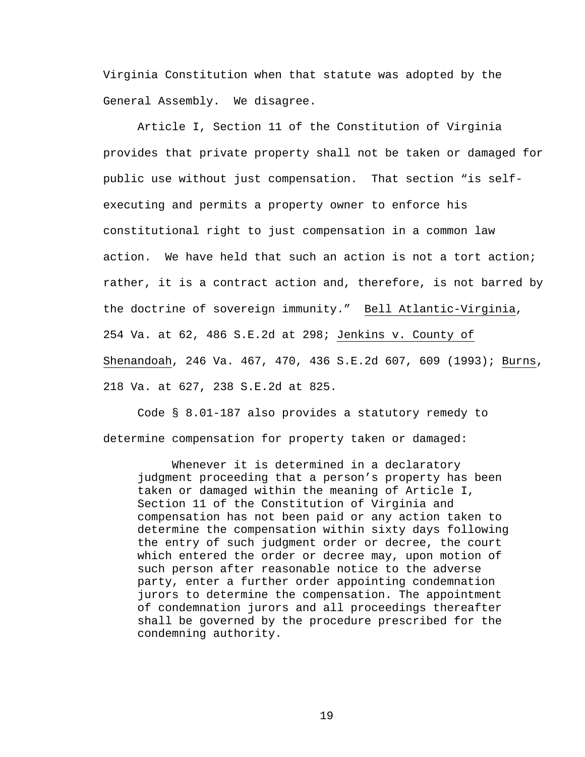Virginia Constitution when that statute was adopted by the General Assembly. We disagree.

Article I, Section 11 of the Constitution of Virginia provides that private property shall not be taken or damaged for public use without just compensation. That section "is selfexecuting and permits a property owner to enforce his constitutional right to just compensation in a common law action. We have held that such an action is not a tort action; rather, it is a contract action and, therefore, is not barred by the doctrine of sovereign immunity." Bell Atlantic-Virginia, 254 Va. at 62, 486 S.E.2d at 298; Jenkins v. County of Shenandoah, 246 Va. 467, 470, 436 S.E.2d 607, 609 (1993); Burns, 218 Va. at 627, 238 S.E.2d at 825.

Code § 8.01-187 also provides a statutory remedy to determine compensation for property taken or damaged:

Whenever it is determined in a declaratory judgment proceeding that a person's property has been taken or damaged within the meaning of Article I, Section 11 of the Constitution of Virginia and compensation has not been paid or any action taken to determine the compensation within sixty days following the entry of such judgment order or decree, the court which entered the order or decree may, upon motion of such person after reasonable notice to the adverse party, enter a further order appointing condemnation jurors to determine the compensation. The appointment of condemnation jurors and all proceedings thereafter shall be governed by the procedure prescribed for the condemning authority.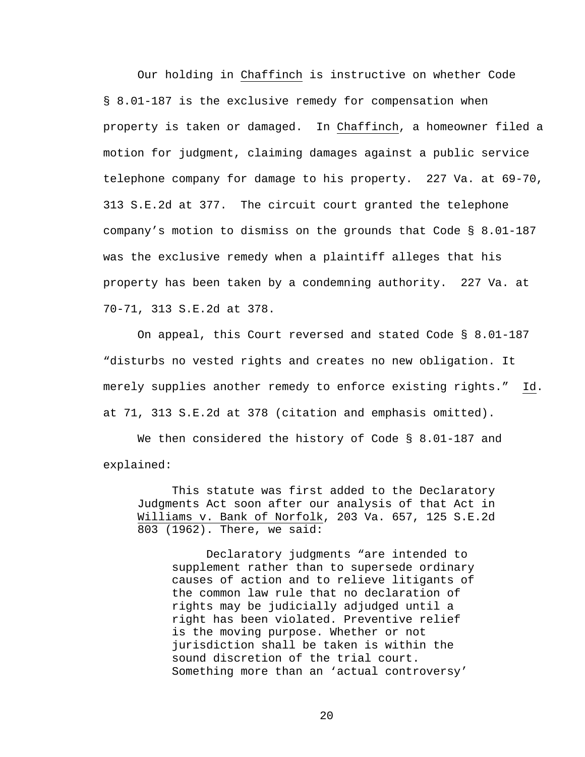Our holding in Chaffinch is instructive on whether Code § 8.01-187 is the exclusive remedy for compensation when property is taken or damaged. In Chaffinch, a homeowner filed a motion for judgment, claiming damages against a public service telephone company for damage to his property. 227 Va. at 69-70, 313 S.E.2d at 377. The circuit court granted the telephone company's motion to dismiss on the grounds that Code § 8.01-187 was the exclusive remedy when a plaintiff alleges that his property has been taken by a condemning authority. 227 Va. at 70-71, 313 S.E.2d at 378.

On appeal, this Court reversed and stated Code § 8.01-187 "disturbs no vested rights and creates no new obligation. It merely supplies another remedy to enforce existing rights." Id. at 71, 313 S.E.2d at 378 (citation and emphasis omitted).

We then considered the history of Code § 8.01-187 and explained:

This statute was first added to the Declaratory Judgments Act soon after our analysis of that Act in Williams v. Bank of Norfolk, 203 Va. 657, 125 S.E.2d 803 (1962). There, we said:

Declaratory judgments "are intended to supplement rather than to supersede ordinary causes of action and to relieve litigants of the common law rule that no declaration of rights may be judicially adjudged until a right has been violated. Preventive relief is the moving purpose. Whether or not jurisdiction shall be taken is within the sound discretion of the trial court. Something more than an 'actual controversy'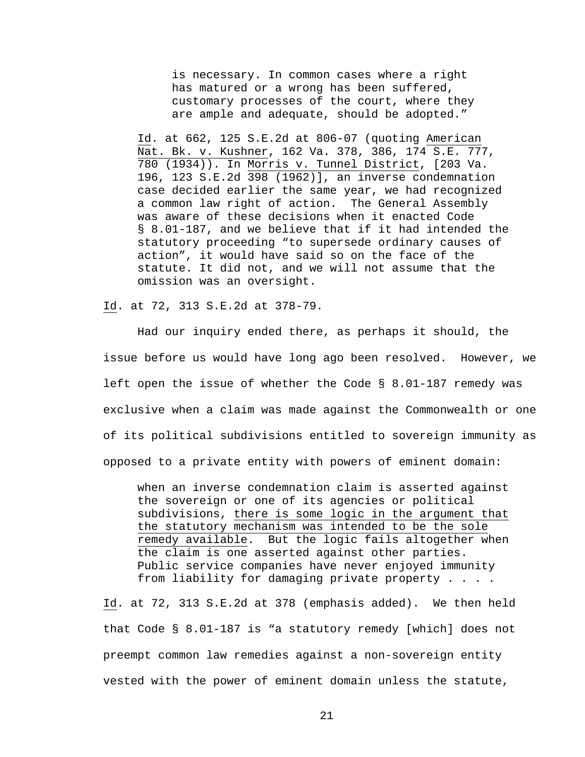is necessary. In common cases where a right has matured or a wrong has been suffered, customary processes of the court, where they are ample and adequate, should be adopted."

Id. at 662, 125 S.E.2d at 806-07 (quoting American Nat. Bk. v. Kushner, 162 Va. 378, 386, 174 S.E. 777, 780 (1934)). In Morris v. Tunnel District, [203 Va. 196, 123 S.E.2d 398 (1962)], an inverse condemnation case decided earlier the same year, we had recognized a common law right of action. The General Assembly was aware of these decisions when it enacted Code § 8.01-187, and we believe that if it had intended the statutory proceeding "to supersede ordinary causes of action", it would have said so on the face of the statute. It did not, and we will not assume that the omission was an oversight.

Id. at 72, 313 S.E.2d at 378-79.

Had our inquiry ended there, as perhaps it should, the issue before us would have long ago been resolved. However, we left open the issue of whether the Code § 8.01-187 remedy was exclusive when a claim was made against the Commonwealth or one of its political subdivisions entitled to sovereign immunity as opposed to a private entity with powers of eminent domain:

when an inverse condemnation claim is asserted against the sovereign or one of its agencies or political subdivisions, there is some logic in the argument that the statutory mechanism was intended to be the sole remedy available. But the logic fails altogether when the claim is one asserted against other parties. Public service companies have never enjoyed immunity from liability for damaging private property . . . .

Id. at 72, 313 S.E.2d at 378 (emphasis added). We then held that Code § 8.01-187 is "a statutory remedy [which] does not preempt common law remedies against a non-sovereign entity vested with the power of eminent domain unless the statute,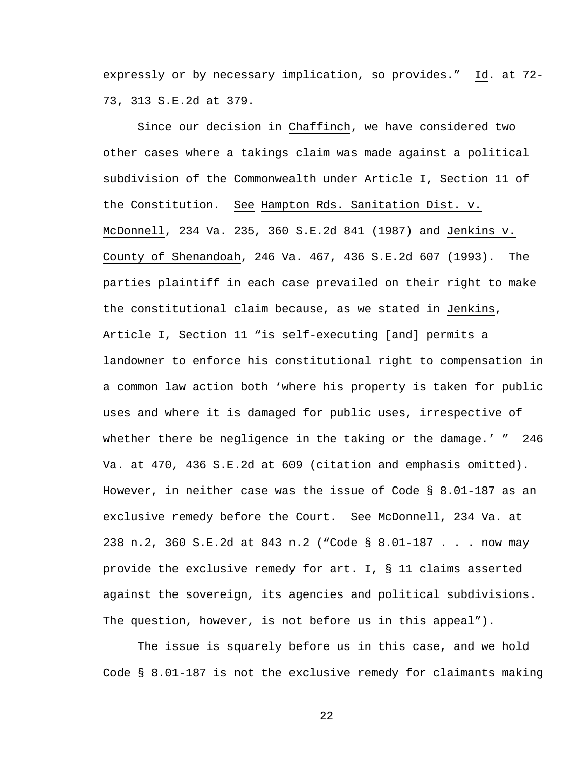expressly or by necessary implication, so provides." Id. at 72- 73, 313 S.E.2d at 379.

 Since our decision in Chaffinch, we have considered two other cases where a takings claim was made against a political subdivision of the Commonwealth under Article I, Section 11 of the Constitution. See Hampton Rds. Sanitation Dist. v. McDonnell, 234 Va. 235, 360 S.E.2d 841 (1987) and Jenkins v. County of Shenandoah, 246 Va. 467, 436 S.E.2d 607 (1993). The parties plaintiff in each case prevailed on their right to make the constitutional claim because, as we stated in Jenkins, Article I, Section 11 "is self-executing [and] permits a landowner to enforce his constitutional right to compensation in a common law action both 'where his property is taken for public uses and where it is damaged for public uses, irrespective of whether there be negligence in the taking or the damage.' " 246 Va. at 470, 436 S.E.2d at 609 (citation and emphasis omitted). However, in neither case was the issue of Code § 8.01-187 as an exclusive remedy before the Court. See McDonnell, 234 Va. at 238 n.2, 360 S.E.2d at 843 n.2 ("Code § 8.01-187 . . . now may provide the exclusive remedy for art. I, § 11 claims asserted against the sovereign, its agencies and political subdivisions. The question, however, is not before us in this appeal").

 The issue is squarely before us in this case, and we hold Code § 8.01-187 is not the exclusive remedy for claimants making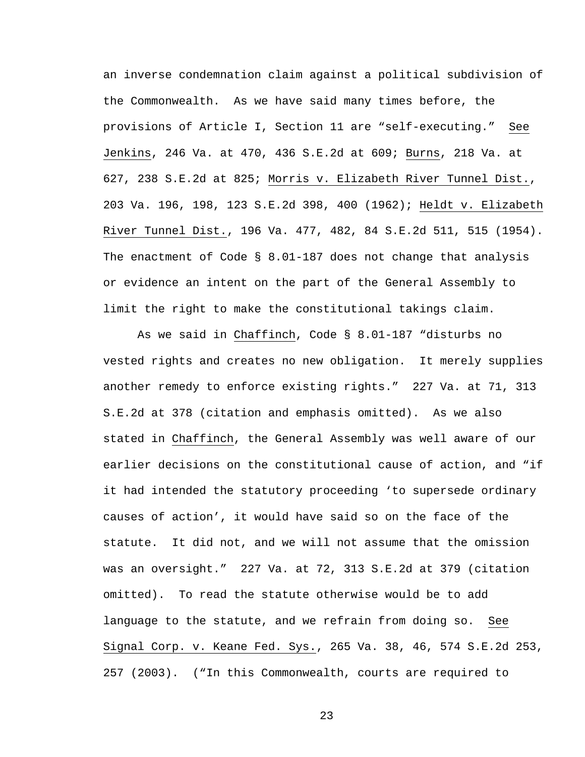an inverse condemnation claim against a political subdivision of the Commonwealth. As we have said many times before, the provisions of Article I, Section 11 are "self-executing." See Jenkins, 246 Va. at 470, 436 S.E.2d at 609; Burns, 218 Va. at 627, 238 S.E.2d at 825; Morris v. Elizabeth River Tunnel Dist., 203 Va. 196, 198, 123 S.E.2d 398, 400 (1962); Heldt v. Elizabeth River Tunnel Dist., 196 Va. 477, 482, 84 S.E.2d 511, 515 (1954). The enactment of Code  $\S$  8.01-187 does not change that analysis or evidence an intent on the part of the General Assembly to limit the right to make the constitutional takings claim.

As we said in Chaffinch, Code § 8.01-187 "disturbs no vested rights and creates no new obligation. It merely supplies another remedy to enforce existing rights." 227 Va. at 71, 313 S.E.2d at 378 (citation and emphasis omitted). As we also stated in Chaffinch, the General Assembly was well aware of our earlier decisions on the constitutional cause of action, and "if it had intended the statutory proceeding 'to supersede ordinary causes of action', it would have said so on the face of the statute. It did not, and we will not assume that the omission was an oversight." 227 Va. at 72, 313 S.E.2d at 379 (citation omitted). To read the statute otherwise would be to add language to the statute, and we refrain from doing so. See Signal Corp. v. Keane Fed. Sys., 265 Va. 38, 46, 574 S.E.2d 253, 257 (2003). ("In this Commonwealth, courts are required to